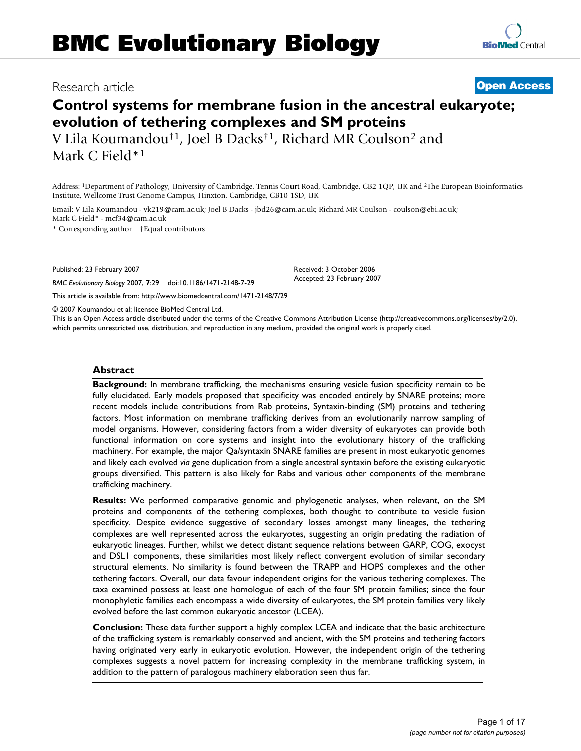# **Control systems for membrane fusion in the ancestral eukaryote; evolution of tethering complexes and SM proteins**

V Lila Koumandou†1, Joel B Dacks†1, Richard MR Coulson2 and Mark C Field\*1

Address: 1Department of Pathology, University of Cambridge, Tennis Court Road, Cambridge, CB2 1QP, UK and 2The European Bioinformatics Institute, Wellcome Trust Genome Campus, Hinxton, Cambridge, CB10 1SD, UK

Email: V Lila Koumandou - vk219@cam.ac.uk; Joel B Dacks - jbd26@cam.ac.uk; Richard MR Coulson - coulson@ebi.ac.uk; Mark C Field\* - mcf34@cam.ac.uk

\* Corresponding author †Equal contributors

Published: 23 February 2007

*BMC Evolutionary Biology* 2007, **7**:29 doi:10.1186/1471-2148-7-29

[This article is available from: http://www.biomedcentral.com/1471-2148/7/29](http://www.biomedcentral.com/1471-2148/7/29)

© 2007 Koumandou et al; licensee BioMed Central Ltd.

This is an Open Access article distributed under the terms of the Creative Commons Attribution License [\(http://creativecommons.org/licenses/by/2.0\)](http://creativecommons.org/licenses/by/2.0), which permits unrestricted use, distribution, and reproduction in any medium, provided the original work is properly cited.

#### **Abstract**

**Background:** In membrane trafficking, the mechanisms ensuring vesicle fusion specificity remain to be fully elucidated. Early models proposed that specificity was encoded entirely by SNARE proteins; more recent models include contributions from Rab proteins, Syntaxin-binding (SM) proteins and tethering factors. Most information on membrane trafficking derives from an evolutionarily narrow sampling of model organisms. However, considering factors from a wider diversity of eukaryotes can provide both functional information on core systems and insight into the evolutionary history of the trafficking machinery. For example, the major Qa/syntaxin SNARE families are present in most eukaryotic genomes and likely each evolved *via* gene duplication from a single ancestral syntaxin before the existing eukaryotic groups diversified. This pattern is also likely for Rabs and various other components of the membrane trafficking machinery.

**Results:** We performed comparative genomic and phylogenetic analyses, when relevant, on the SM proteins and components of the tethering complexes, both thought to contribute to vesicle fusion specificity. Despite evidence suggestive of secondary losses amongst many lineages, the tethering complexes are well represented across the eukaryotes, suggesting an origin predating the radiation of eukaryotic lineages. Further, whilst we detect distant sequence relations between GARP, COG, exocyst and DSL1 components, these similarities most likely reflect convergent evolution of similar secondary structural elements. No similarity is found between the TRAPP and HOPS complexes and the other tethering factors. Overall, our data favour independent origins for the various tethering complexes. The taxa examined possess at least one homologue of each of the four SM protein families; since the four monophyletic families each encompass a wide diversity of eukaryotes, the SM protein families very likely evolved before the last common eukaryotic ancestor (LCEA).

**Conclusion:** These data further support a highly complex LCEA and indicate that the basic architecture of the trafficking system is remarkably conserved and ancient, with the SM proteins and tethering factors having originated very early in eukaryotic evolution. However, the independent origin of the tethering complexes suggests a novel pattern for increasing complexity in the membrane trafficking system, in addition to the pattern of paralogous machinery elaboration seen thus far.

# Research article **[Open Access](http://www.biomedcentral.com/info/about/charter/)**

Received: 3 October 2006 Accepted: 23 February 2007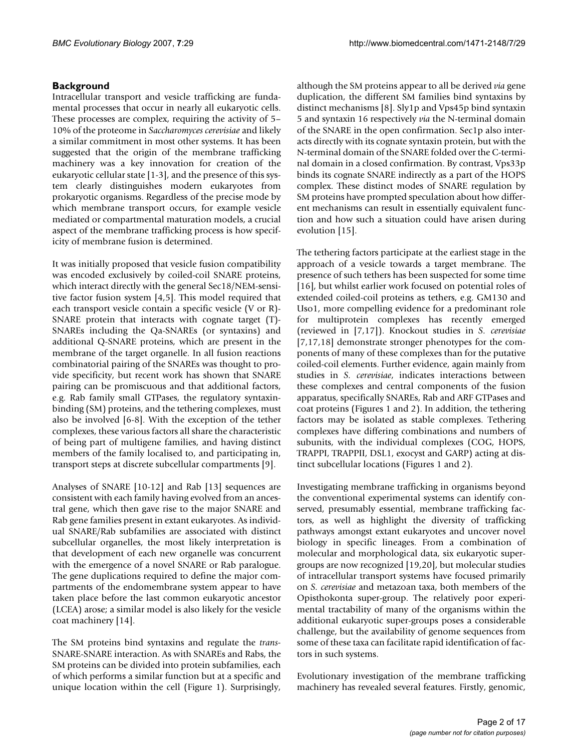### **Background**

Intracellular transport and vesicle trafficking are fundamental processes that occur in nearly all eukaryotic cells. These processes are complex, requiring the activity of 5– 10% of the proteome in *Saccharomyces cerevisiae* and likely a similar commitment in most other systems. It has been suggested that the origin of the membrane trafficking machinery was a key innovation for creation of the eukaryotic cellular state [1-3], and the presence of this system clearly distinguishes modern eukaryotes from prokaryotic organisms. Regardless of the precise mode by which membrane transport occurs, for example vesicle mediated or compartmental maturation models, a crucial aspect of the membrane trafficking process is how specificity of membrane fusion is determined.

It was initially proposed that vesicle fusion compatibility was encoded exclusively by coiled-coil SNARE proteins, which interact directly with the general Sec18/NEM-sensitive factor fusion system [4,5]. This model required that each transport vesicle contain a specific vesicle (V or R)- SNARE protein that interacts with cognate target (T)- SNAREs including the Qa-SNAREs (or syntaxins) and additional Q-SNARE proteins, which are present in the membrane of the target organelle. In all fusion reactions combinatorial pairing of the SNAREs was thought to provide specificity, but recent work has shown that SNARE pairing can be promiscuous and that additional factors, e.g. Rab family small GTPases, the regulatory syntaxinbinding (SM) proteins, and the tethering complexes, must also be involved [6-8]. With the exception of the tether complexes, these various factors all share the characteristic of being part of multigene families, and having distinct members of the family localised to, and participating in, transport steps at discrete subcellular compartments [9].

Analyses of SNARE [10-12] and Rab [13] sequences are consistent with each family having evolved from an ancestral gene, which then gave rise to the major SNARE and Rab gene families present in extant eukaryotes. As individual SNARE/Rab subfamilies are associated with distinct subcellular organelles, the most likely interpretation is that development of each new organelle was concurrent with the emergence of a novel SNARE or Rab paralogue. The gene duplications required to define the major compartments of the endomembrane system appear to have taken place before the last common eukaryotic ancestor (LCEA) arose; a similar model is also likely for the vesicle coat machinery [14].

The SM proteins bind syntaxins and regulate the *trans-*SNARE-SNARE interaction. As with SNAREs and Rabs, the SM proteins can be divided into protein subfamilies, each of which performs a similar function but at a specific and unique location within the cell (Figure 1). Surprisingly,

although the SM proteins appear to all be derived *via* gene duplication, the different SM families bind syntaxins by distinct mechanisms [8]. Sly1p and Vps45p bind syntaxin 5 and syntaxin 16 respectively *via* the N-terminal domain of the SNARE in the open confirmation. Sec1p also interacts directly with its cognate syntaxin protein, but with the N-terminal domain of the SNARE folded over the C-terminal domain in a closed confirmation. By contrast, Vps33p binds its cognate SNARE indirectly as a part of the HOPS complex. These distinct modes of SNARE regulation by SM proteins have prompted speculation about how different mechanisms can result in essentially equivalent function and how such a situation could have arisen during evolution [15].

The tethering factors participate at the earliest stage in the approach of a vesicle towards a target membrane. The presence of such tethers has been suspected for some time [16], but whilst earlier work focused on potential roles of extended coiled-coil proteins as tethers, e.g. GM130 and Uso1, more compelling evidence for a predominant role for multiprotein complexes has recently emerged (reviewed in [7,17]). Knockout studies in *S. cerevisiae* [7,17,18] demonstrate stronger phenotypes for the components of many of these complexes than for the putative coiled-coil elements. Further evidence, again mainly from studies in *S. cerevisiae*, indicates interactions between these complexes and central components of the fusion apparatus, specifically SNAREs, Rab and ARF GTPases and coat proteins (Figures 1 and 2). In addition, the tethering factors may be isolated as stable complexes. Tethering complexes have differing combinations and numbers of subunits, with the individual complexes (COG, HOPS, TRAPPI, TRAPPII, DSL1, exocyst and GARP) acting at distinct subcellular locations (Figures 1 and 2).

Investigating membrane trafficking in organisms beyond the conventional experimental systems can identify conserved, presumably essential, membrane trafficking factors, as well as highlight the diversity of trafficking pathways amongst extant eukaryotes and uncover novel biology in specific lineages. From a combination of molecular and morphological data, six eukaryotic supergroups are now recognized [19,20], but molecular studies of intracellular transport systems have focused primarily on *S. cerevisiae* and metazoan taxa, both members of the Opisthokonta super-group. The relatively poor experimental tractability of many of the organisms within the additional eukaryotic super-groups poses a considerable challenge, but the availability of genome sequences from some of these taxa can facilitate rapid identification of factors in such systems.

Evolutionary investigation of the membrane trafficking machinery has revealed several features. Firstly, genomic,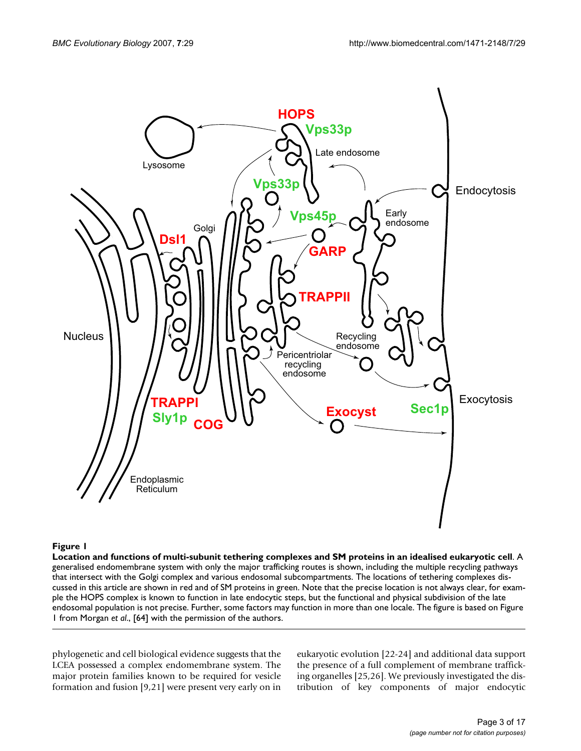

#### Location and functions of multi-subunit tethering comple **Figure 1** xes and SM proteins in an idealised eukaryotic cell

**Location and functions of multi-subunit tethering complexes and SM proteins in an idealised eukaryotic cell**. A generalised endomembrane system with only the major trafficking routes is shown, including the multiple recycling pathways that intersect with the Golgi complex and various endosomal subcompartments. The locations of tethering complexes discussed in this article are shown in red and of SM proteins in green. Note that the precise location is not always clear, for example the HOPS complex is known to function in late endocytic steps, but the functional and physical subdivision of the late endosomal population is not precise. Further, some factors may function in more than one locale. The figure is based on Figure 1 from Morgan *et al*., [64] with the permission of the authors.

phylogenetic and cell biological evidence suggests that the LCEA possessed a complex endomembrane system. The major protein families known to be required for vesicle formation and fusion [9,21] were present very early on in eukaryotic evolution [22-24] and additional data support the presence of a full complement of membrane trafficking organelles [25,26]. We previously investigated the distribution of key components of major endocytic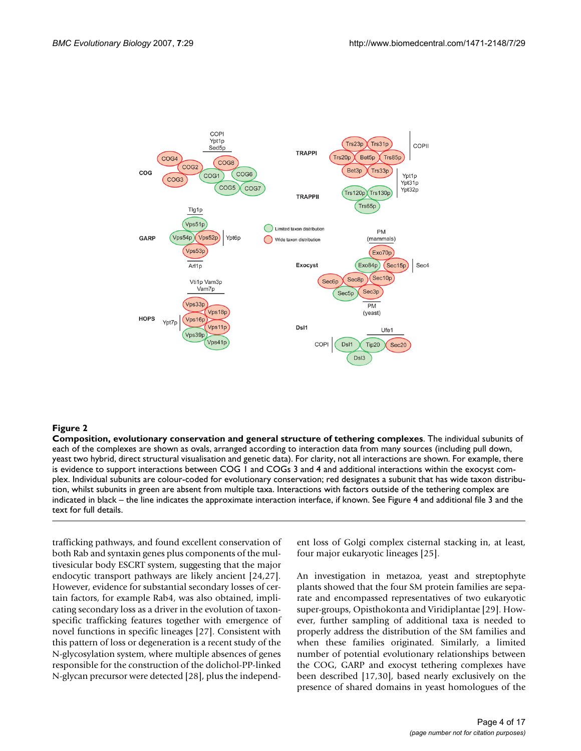

### Composition, evolutionary conservation an **Figure 2** d general structure of tethering complexes

**Composition, evolutionary conservation and general structure of tethering complexes**. The individual subunits of each of the complexes are shown as ovals, arranged according to interaction data from many sources (including pull down, yeast two hybrid, direct structural visualisation and genetic data). For clarity, not all interactions are shown. For example, there is evidence to support interactions between COG 1 and COGs 3 and 4 and additional interactions within the exocyst complex. Individual subunits are colour-coded for evolutionary conservation; red designates a subunit that has wide taxon distribution, whilst subunits in green are absent from multiple taxa. Interactions with factors outside of the tethering complex are indicated in black – the line indicates the approximate interaction interface, if known. See Figure 4 and additional file 3 and the text for full details.

trafficking pathways, and found excellent conservation of both Rab and syntaxin genes plus components of the multivesicular body ESCRT system, suggesting that the major endocytic transport pathways are likely ancient [24,27]. However, evidence for substantial secondary losses of certain factors, for example Rab4, was also obtained, implicating secondary loss as a driver in the evolution of taxonspecific trafficking features together with emergence of novel functions in specific lineages [27]. Consistent with this pattern of loss or degeneration is a recent study of the N-glycosylation system, where multiple absences of genes responsible for the construction of the dolichol-PP-linked N-glycan precursor were detected [28], plus the independent loss of Golgi complex cisternal stacking in, at least, four major eukaryotic lineages [25].

An investigation in metazoa, yeast and streptophyte plants showed that the four SM protein families are separate and encompassed representatives of two eukaryotic super-groups, Opisthokonta and Viridiplantae [29]. However, further sampling of additional taxa is needed to properly address the distribution of the SM families and when these families originated. Similarly, a limited number of potential evolutionary relationships between the COG, GARP and exocyst tethering complexes have been described [17,30], based nearly exclusively on the presence of shared domains in yeast homologues of the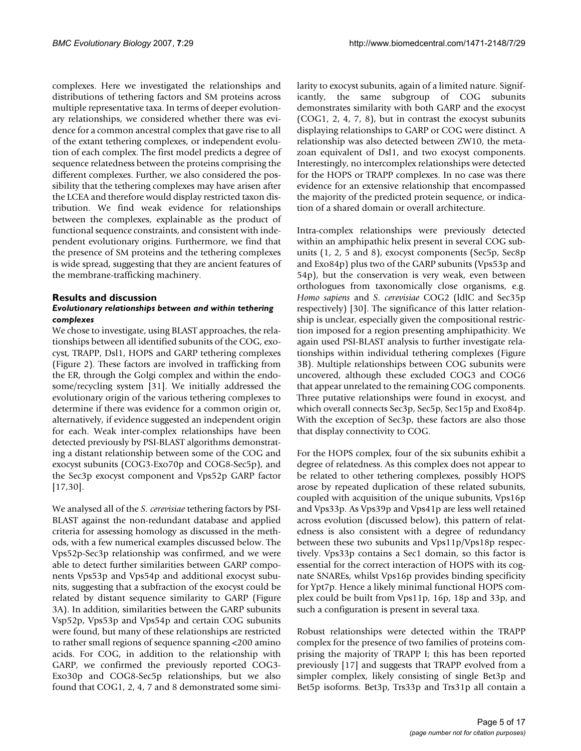complexes. Here we investigated the relationships and distributions of tethering factors and SM proteins across multiple representative taxa. In terms of deeper evolutionary relationships, we considered whether there was evidence for a common ancestral complex that gave rise to all of the extant tethering complexes, or independent evolution of each complex. The first model predicts a degree of sequence relatedness between the proteins comprising the different complexes. Further, we also considered the possibility that the tethering complexes may have arisen after the LCEA and therefore would display restricted taxon distribution. We find weak evidence for relationships between the complexes, explainable as the product of functional sequence constraints, and consistent with independent evolutionary origins. Furthermore, we find that the presence of SM proteins and the tethering complexes is wide spread, suggesting that they are ancient features of the membrane-trafficking machinery.

#### **Results and discussion** *Evolutionary relationships between and within tethering complexes*

We chose to investigate, using BLAST approaches, the relationships between all identified subunits of the COG, exocyst, TRAPP, Dsl1, HOPS and GARP tethering complexes (Figure 2). These factors are involved in trafficking from the ER, through the Golgi complex and within the endosome/recycling system [31]. We initially addressed the evolutionary origin of the various tethering complexes to determine if there was evidence for a common origin or, alternatively, if evidence suggested an independent origin for each. Weak inter-complex relationships have been detected previously by PSI-BLAST algorithms demonstrating a distant relationship between some of the COG and exocyst subunits (COG3-Exo70p and COG8-Sec5p), and the Sec3p exocyst component and Vps52p GARP factor [17,30].

We analysed all of the *S. cerevisiae* tethering factors by PSI-BLAST against the non-redundant database and applied criteria for assessing homology as discussed in the methods, with a few numerical examples discussed below. The Vps52p-Sec3p relationship was confirmed, and we were able to detect further similarities between GARP components Vps53p and Vps54p and additional exocyst subunits, suggesting that a subfraction of the exocyst could be related by distant sequence similarity to GARP (Figure 3A). In addition, similarities between the GARP subunits Vsp52p, Vps53p and Vps54p and certain COG subunits were found, but many of these relationships are restricted to rather small regions of sequence spanning <200 amino acids. For COG, in addition to the relationship with GARP, we confirmed the previously reported COG3- Exo30p and COG8-Sec5p relationships, but we also found that COG1, 2, 4, 7 and 8 demonstrated some similarity to exocyst subunits, again of a limited nature. Significantly, the same subgroup of COG subunits demonstrates similarity with both GARP and the exocyst (COG1, 2, 4, 7, 8), but in contrast the exocyst subunits displaying relationships to GARP or COG were distinct. A relationship was also detected between ZW10, the metazoan equivalent of Dsl1, and two exocyst components. Interestingly, no intercomplex relationships were detected for the HOPS or TRAPP complexes. In no case was there evidence for an extensive relationship that encompassed the majority of the predicted protein sequence, or indication of a shared domain or overall architecture.

Intra-complex relationships were previously detected within an amphipathic helix present in several COG subunits (1, 2, 5 and 8), exocyst components (Sec5p, Sec8p and Exo84p) plus two of the GARP subunits (Vps53p and 54p), but the conservation is very weak, even between orthologues from taxonomically close organisms, e.g. *Homo sapiens* and *S. cerevisiae* COG2 (ldlC and Sec35p respectively) [30]. The significance of this latter relationship is unclear, especially given the compositional restriction imposed for a region presenting amphipathicity. We again used PSI-BLAST analysis to further investigate relationships within individual tethering complexes (Figure 3B). Multiple relationships between COG subunits were uncovered, although these excluded COG3 and COG6 that appear unrelated to the remaining COG components. Three putative relationships were found in exocyst, and which overall connects Sec3p, Sec5p, Sec15p and Exo84p. With the exception of Sec3p, these factors are also those that display connectivity to COG.

For the HOPS complex, four of the six subunits exhibit a degree of relatedness. As this complex does not appear to be related to other tethering complexes, possibly HOPS arose by repeated duplication of these related subunits, coupled with acquisition of the unique subunits, Vps16p and Vps33p. As Vps39p and Vps41p are less well retained across evolution (discussed below), this pattern of relatedness is also consistent with a degree of redundancy between these two subunits and Vps11p/Vps18p respectively. Vps33p contains a Sec1 domain, so this factor is essential for the correct interaction of HOPS with its cognate SNAREs, whilst Vps16p provides binding specificity for Ypt7p. Hence a likely minimal functional HOPS complex could be built from Vps11p, 16p, 18p and 33p, and such a configuration is present in several taxa.

Robust relationships were detected within the TRAPP complex for the presence of two families of proteins comprising the majority of TRAPP I; this has been reported previously [17] and suggests that TRAPP evolved from a simpler complex, likely consisting of single Bet3p and Bet5p isoforms. Bet3p, Trs33p and Trs31p all contain a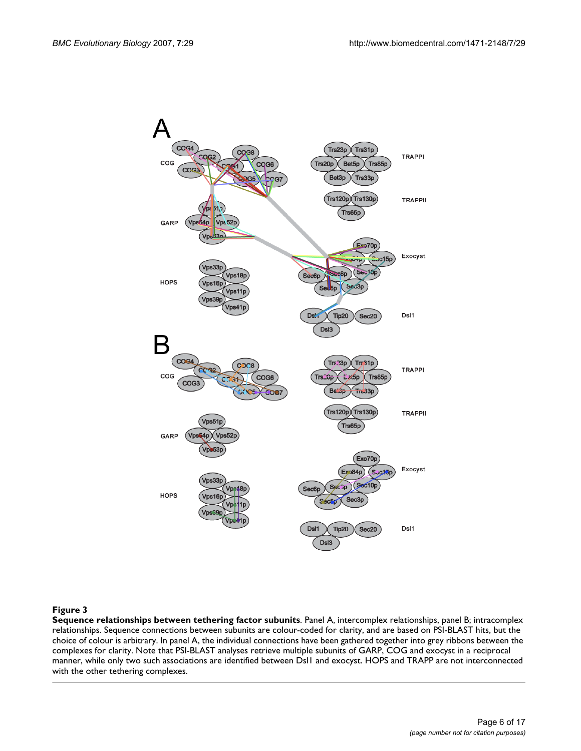

#### Figure 3

**Sequence relationships between tethering factor subunits**. Panel A, intercomplex relationships, panel B; intracomplex relationships. Sequence connections between subunits are colour-coded for clarity, and are based on PSI-BLAST hits, but the choice of colour is arbitrary. In panel A, the individual connections have been gathered together into grey ribbons between the complexes for clarity. Note that PSI-BLAST analyses retrieve multiple subunits of GARP, COG and exocyst in a reciprocal manner, while only two such associations are identified between Dsl1 and exocyst. HOPS and TRAPP are not interconnected with the other tethering complexes.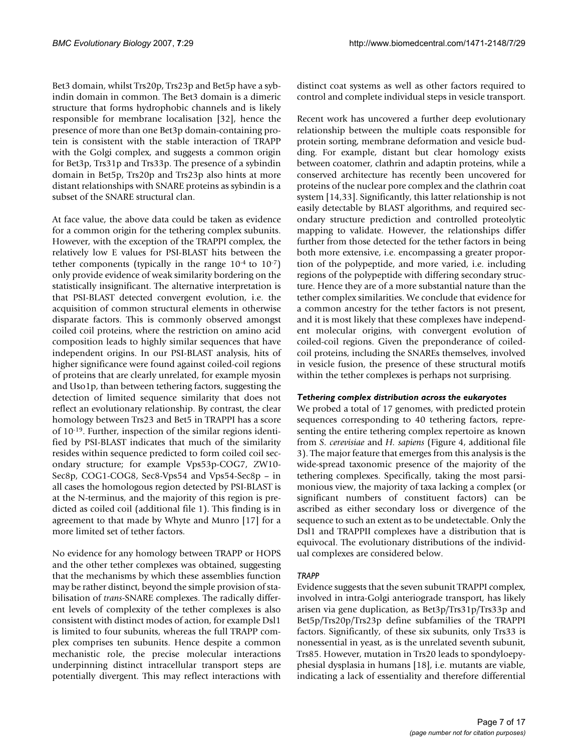Bet3 domain, whilst Trs20p, Trs23p and Bet5p have a sybindin domain in common. The Bet3 domain is a dimeric structure that forms hydrophobic channels and is likely responsible for membrane localisation [32], hence the presence of more than one Bet3p domain-containing protein is consistent with the stable interaction of TRAPP with the Golgi complex, and suggests a common origin for Bet3p, Trs31p and Trs33p. The presence of a sybindin domain in Bet5p, Trs20p and Trs23p also hints at more distant relationships with SNARE proteins as sybindin is a subset of the SNARE structural clan.

At face value, the above data could be taken as evidence for a common origin for the tethering complex subunits. However, with the exception of the TRAPPI complex, the relatively low E values for PSI-BLAST hits between the tether components (typically in the range  $10^{-4}$  to  $10^{-7}$ ) only provide evidence of weak similarity bordering on the statistically insignificant. The alternative interpretation is that PSI-BLAST detected convergent evolution, i.e. the acquisition of common structural elements in otherwise disparate factors. This is commonly observed amongst coiled coil proteins, where the restriction on amino acid composition leads to highly similar sequences that have independent origins. In our PSI-BLAST analysis, hits of higher significance were found against coiled-coil regions of proteins that are clearly unrelated, for example myosin and Uso1p, than between tethering factors, suggesting the detection of limited sequence similarity that does not reflect an evolutionary relationship. By contrast, the clear homology between Trs23 and Bet5 in TRAPPI has a score of 10-19. Further, inspection of the similar regions identified by PSI-BLAST indicates that much of the similarity resides within sequence predicted to form coiled coil secondary structure; for example Vps53p-COG7, ZW10- Sec8p, COG1-COG8, Sec8-Vps54 and Vps54-Sec8p – in all cases the homologous region detected by PSI-BLAST is at the N-terminus, and the majority of this region is predicted as coiled coil (additional file 1). This finding is in agreement to that made by Whyte and Munro [17] for a more limited set of tether factors.

No evidence for any homology between TRAPP or HOPS and the other tether complexes was obtained, suggesting that the mechanisms by which these assemblies function may be rather distinct, beyond the simple provision of stabilisation of *trans-*SNARE complexes. The radically different levels of complexity of the tether complexes is also consistent with distinct modes of action, for example Dsl1 is limited to four subunits, whereas the full TRAPP complex comprises ten subunits. Hence despite a common mechanistic role, the precise molecular interactions underpinning distinct intracellular transport steps are potentially divergent. This may reflect interactions with distinct coat systems as well as other factors required to control and complete individual steps in vesicle transport.

Recent work has uncovered a further deep evolutionary relationship between the multiple coats responsible for protein sorting, membrane deformation and vesicle budding. For example, distant but clear homology exists between coatomer, clathrin and adaptin proteins, while a conserved architecture has recently been uncovered for proteins of the nuclear pore complex and the clathrin coat system [14,33]. Significantly, this latter relationship is not easily detectable by BLAST algorithms, and required secondary structure prediction and controlled proteolytic mapping to validate. However, the relationships differ further from those detected for the tether factors in being both more extensive, i.e. encompassing a greater proportion of the polypeptide, and more varied, i.e. including regions of the polypeptide with differing secondary structure. Hence they are of a more substantial nature than the tether complex similarities. We conclude that evidence for a common ancestry for the tether factors is not present, and it is most likely that these complexes have independent molecular origins, with convergent evolution of coiled-coil regions. Given the preponderance of coiledcoil proteins, including the SNAREs themselves, involved in vesicle fusion, the presence of these structural motifs within the tether complexes is perhaps not surprising.

### *Tethering complex distribution across the eukaryotes*

We probed a total of 17 genomes, with predicted protein sequences corresponding to 40 tethering factors, representing the entire tethering complex repertoire as known from *S. cerevisiae* and *H. sapiens* (Figure 4, additional file 3). The major feature that emerges from this analysis is the wide-spread taxonomic presence of the majority of the tethering complexes. Specifically, taking the most parsimonious view, the majority of taxa lacking a complex (or significant numbers of constituent factors) can be ascribed as either secondary loss or divergence of the sequence to such an extent as to be undetectable. Only the Dsl1 and TRAPPII complexes have a distribution that is equivocal. The evolutionary distributions of the individual complexes are considered below.

### *TRAPP*

Evidence suggests that the seven subunit TRAPPI complex, involved in intra-Golgi anteriograde transport, has likely arisen via gene duplication, as Bet3p/Trs31p/Trs33p and Bet5p/Trs20p/Trs23p define subfamilies of the TRAPPI factors. Significantly, of these six subunits, only Trs33 is nonessential in yeast, as is the unrelated seventh subunit, Trs85. However, mutation in Trs20 leads to spondyloepyphesial dysplasia in humans [18], i.e. mutants are viable, indicating a lack of essentiality and therefore differential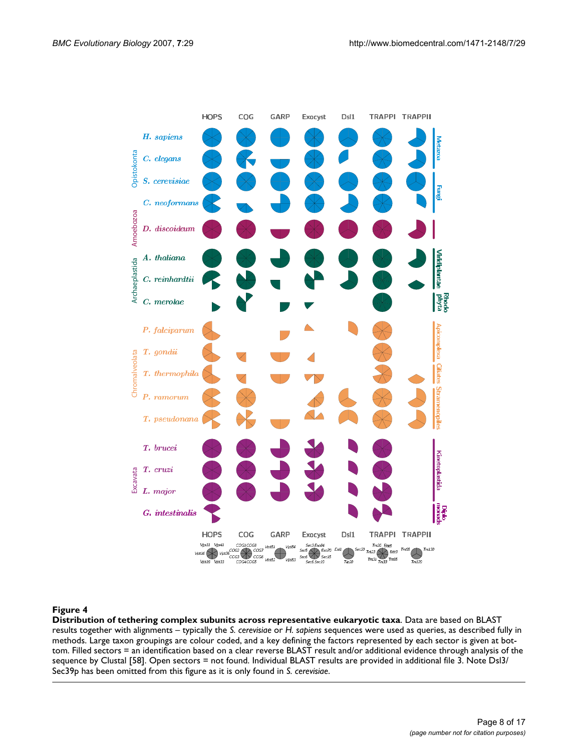

#### Figure 4

**Distribution of tethering complex subunits across representative eukaryotic taxa**. Data are based on BLAST results together with alignments – typically the *S. cerevisiae* or *H. sapiens* sequences were used as queries, as described fully in methods. Large taxon groupings are colour coded, and a key defining the factors represented by each sector is given at bottom. Filled sectors = an identification based on a clear reverse BLAST result and/or additional evidence through analysis of the sequence by Clustal [58]. Open sectors = not found. Individual BLAST results are provided in additional file 3. Note Dsl3/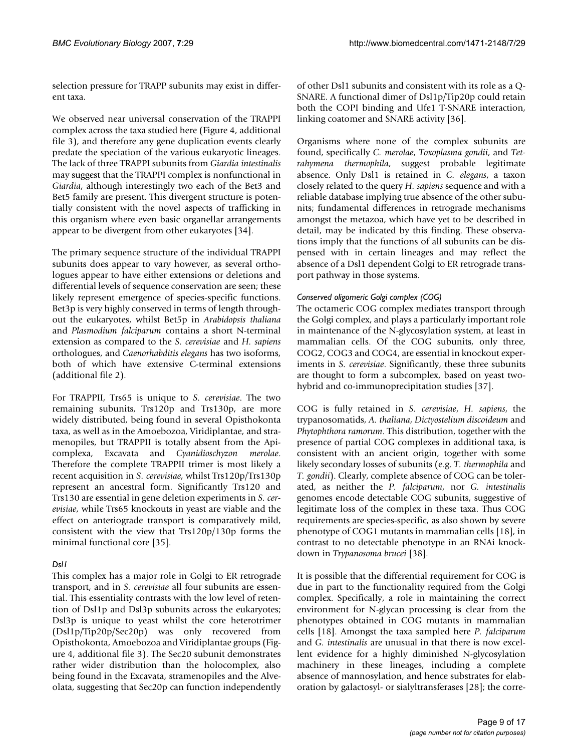selection pressure for TRAPP subunits may exist in different taxa.

We observed near universal conservation of the TRAPPI complex across the taxa studied here (Figure 4, additional file 3), and therefore any gene duplication events clearly predate the speciation of the various eukaryotic lineages. The lack of three TRAPPI subunits from *Giardia intestinalis* may suggest that the TRAPPI complex is nonfunctional in *Giardia*, although interestingly two each of the Bet3 and Bet5 family are present. This divergent structure is potentially consistent with the novel aspects of trafficking in this organism where even basic organellar arrangements appear to be divergent from other eukaryotes [34].

The primary sequence structure of the individual TRAPPI subunits does appear to vary however, as several orthologues appear to have either extensions or deletions and differential levels of sequence conservation are seen; these likely represent emergence of species-specific functions. Bet3p is very highly conserved in terms of length throughout the eukaryotes, whilst Bet5p in *Arabidopsis thaliana* and *Plasmodium falciparum* contains a short N-terminal extension as compared to the *S. cerevisiae* and *H. sapiens* orthologues, and *Caenorhabditis elegans* has two isoforms, both of which have extensive C-terminal extensions (additional file 2).

For TRAPPII, Trs65 is unique to *S. cerevisiae*. The two remaining subunits, Trs120p and Trs130p, are more widely distributed, being found in several Opisthokonta taxa, as well as in the Amoebozoa, Viridiplantae, and stramenopiles, but TRAPPII is totally absent from the Apicomplexa, Excavata and *Cyanidioschyzon merolae*. Therefore the complete TRAPPII trimer is most likely a recent acquisition in *S. cerevisiae*, whilst Trs120p/Trs130p represent an ancestral form. Significantly Trs120 and Trs130 are essential in gene deletion experiments in *S. cerevisiae*, while Trs65 knockouts in yeast are viable and the effect on anteriograde transport is comparatively mild, consistent with the view that Trs120p/130p forms the minimal functional core [35].

### *Dsl1*

This complex has a major role in Golgi to ER retrograde transport, and in *S. cerevisiae* all four subunits are essential. This essentiality contrasts with the low level of retention of Dsl1p and Dsl3p subunits across the eukaryotes; Dsl3p is unique to yeast whilst the core heterotrimer (Dsl1p/Tip20p/Sec20p) was only recovered from Opisthokonta, Amoebozoa and Viridiplantae groups (Figure 4, additional file 3). The Sec20 subunit demonstrates rather wider distribution than the holocomplex, also being found in the Excavata, stramenopiles and the Alveolata, suggesting that Sec20p can function independently of other Dsl1 subunits and consistent with its role as a Q-SNARE. A functional dimer of Dsl1p/Tip20p could retain both the COPI binding and Ufe1 T-SNARE interaction, linking coatomer and SNARE activity [36].

Organisms where none of the complex subunits are found, specifically *C. merolae*, *Toxoplasma gondii*, and *Tetrahymena thermophila*, suggest probable legitimate absence. Only Dsl1 is retained in *C. elegans*, a taxon closely related to the query *H. sapiens* sequence and with a reliable database implying true absence of the other subunits; fundamental differences in retrograde mechanisms amongst the metazoa, which have yet to be described in detail, may be indicated by this finding. These observations imply that the functions of all subunits can be dispensed with in certain lineages and may reflect the absence of a Dsl1 dependent Golgi to ER retrograde transport pathway in those systems.

### *Conserved oligomeric Golgi complex (COG)*

The octameric COG complex mediates transport through the Golgi complex, and plays a particularly important role in maintenance of the N-glycosylation system, at least in mammalian cells. Of the COG subunits, only three, COG2, COG3 and COG4, are essential in knockout experiments in *S. cerevisiae*. Significantly, these three subunits are thought to form a subcomplex, based on yeast twohybrid and co-immunoprecipitation studies [37].

COG is fully retained in *S. cerevisiae*, *H. sapiens*, the trypanosomatids, *A. thaliana*, *Dictyostelium discoideum* and *Phytophthora ramorum*. This distribution, together with the presence of partial COG complexes in additional taxa, is consistent with an ancient origin, together with some likely secondary losses of subunits (e.g. *T. thermophila* and *T. gondii*). Clearly, complete absence of COG can be tolerated, as neither the *P. falciparum*, nor *G. intestinalis* genomes encode detectable COG subunits, suggestive of legitimate loss of the complex in these taxa. Thus COG requirements are species-specific, as also shown by severe phenotype of COG1 mutants in mammalian cells [18], in contrast to no detectable phenotype in an RNAi knockdown in *Trypanosoma brucei* [38].

It is possible that the differential requirement for COG is due in part to the functionality required from the Golgi complex. Specifically, a role in maintaining the correct environment for N-glycan processing is clear from the phenotypes obtained in COG mutants in mammalian cells [18]. Amongst the taxa sampled here *P. falciparum* and *G. intestinalis* are unusual in that there is now excellent evidence for a highly diminished N-glycosylation machinery in these lineages, including a complete absence of mannosylation, and hence substrates for elaboration by galactosyl- or sialyltransferases [28]; the corre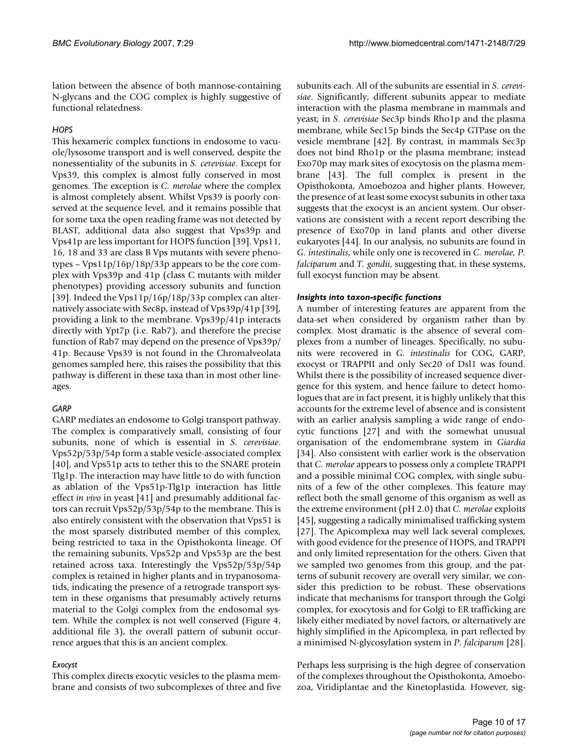lation between the absence of both mannose-containing N-glycans and the COG complex is highly suggestive of functional relatedness.

#### *HOPS*

This hexameric complex functions in endosome to vacuole/lysosome transport and is well conserved, despite the nonessentiality of the subunits in *S. cerevisiae*. Except for Vps39, this complex is almost fully conserved in most genomes. The exception is *C. merolae* where the complex is almost completely absent. Whilst Vps39 is poorly conserved at the sequence level, and it remains possible that for some taxa the open reading frame was not detected by BLAST, additional data also suggest that Vps39p and Vps41p are less important for HOPS function [39]. Vps11, 16, 18 and 33 are class B Vps mutants with severe phenotypes – Vps11p/16p/18p/33p appears to be the core complex with Vps39p and 41p (class C mutants with milder phenotypes) providing accessory subunits and function [39]. Indeed the Vps11p/16p/18p/33p complex can alternatively associate with Sec8p, instead of Vps39p/41p [39], providing a link to the membrane. Vps39p/41p interacts directly with Ypt7p (i.e. Rab7), and therefore the precise function of Rab7 may depend on the presence of Vps39p/ 41p. Because Vps39 is not found in the Chromalveolata genomes sampled here, this raises the possibility that this pathway is different in these taxa than in most other lineages.

### *GARP*

GARP mediates an endosome to Golgi transport pathway. The complex is comparatively small, consisting of four subunits, none of which is essential in *S. cerevisiae*. Vps52p/53p/54p form a stable vesicle-associated complex [40], and Vps51p acts to tether this to the SNARE protein Tlg1p. The interaction may have little to do with function as ablation of the Vps51p-Tlg1p interaction has little effect *in vivo* in yeast [41] and presumably additional factors can recruit Vps52p/53p/54p to the membrane. This is also entirely consistent with the observation that Vps51 is the most sparsely distributed member of this complex, being restricted to taxa in the Opisthokonta lineage. Of the remaining subunits, Vps52p and Vps53p are the best retained across taxa. Interestingly the Vps52p/53p/54p complex is retained in higher plants and in trypanosomatids, indicating the presence of a retrograde transport system in these organisms that presumably actively returns material to the Golgi complex from the endosomal system. While the complex is not well conserved (Figure 4, additional file 3), the overall pattern of subunit occurrence argues that this is an ancient complex.

### *Exocyst*

This complex directs exocytic vesicles to the plasma membrane and consists of two subcomplexes of three and five subunits each. All of the subunits are essential in *S. cerevisiae*. Significantly, different subunits appear to mediate interaction with the plasma membrane in mammals and yeast; in *S. cerevisiae* Sec3p binds Rho1p and the plasma membrane, while Sec15p binds the Sec4p GTPase on the vesicle membrane [42]. By contrast, in mammals Sec3p does not bind Rho1p or the plasma membrane; instead Exo70p may mark sites of exocytosis on the plasma membrane [43]. The full complex is present in the Opisthokonta, Amoebozoa and higher plants. However, the presence of at least some exocyst subunits in other taxa suggests that the exocyst is an ancient system. Our observations are consistent with a recent report describing the presence of Exo70p in land plants and other diverse eukaryotes [44]. In our analysis, no subunits are found in *G. intestinalis*, while only one is recovered in *C. merolae, P. falciparum* and *T. gondii*, suggesting that, in these systems, full exocyst function may be absent.

#### *Insights into taxon-specific functions*

A number of interesting features are apparent from the data-set when considered by organism rather than by complex. Most dramatic is the absence of several complexes from a number of lineages. Specifically, no subunits were recovered in *G. intestinalis* for COG, GARP, exocyst or TRAPPII and only Sec20 of Dsl1 was found. Whilst there is the possibility of increased sequence divergence for this system, and hence failure to detect homologues that are in fact present, it is highly unlikely that this accounts for the extreme level of absence and is consistent with an earlier analysis sampling a wide range of endocytic functions [27] and with the somewhat unusual organisation of the endomembrane system in *Giardia* [34]. Also consistent with earlier work is the observation that *C. merolae* appears to possess only a complete TRAPPI and a possible minimal COG complex, with single subunits of a few of the other complexes. This feature may reflect both the small genome of this organism as well as the extreme environment (pH 2.0) that *C. merolae* exploits [45], suggesting a radically minimalised trafficking system [27]. The Apicomplexa may well lack several complexes, with good evidence for the presence of HOPS, and TRAPPI and only limited representation for the others. Given that we sampled two genomes from this group, and the patterns of subunit recovery are overall very similar, we consider this prediction to be robust. These observations indicate that mechanisms for transport through the Golgi complex, for exocytosis and for Golgi to ER trafficking are likely either mediated by novel factors, or alternatively are highly simplified in the Apicomplexa, in part reflected by a minimised N-glycosylation system in *P. falciparum* [28].

Perhaps less surprising is the high degree of conservation of the complexes throughout the Opisthokonta, Amoebozoa, Viridiplantae and the Kinetoplastida. However, sig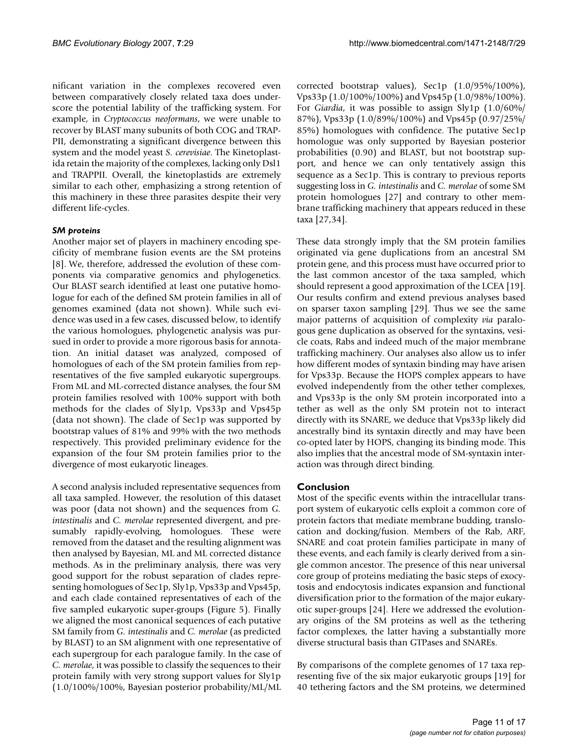nificant variation in the complexes recovered even between comparatively closely related taxa does underscore the potential lability of the trafficking system. For example, in *Cryptococcus neoformans*, we were unable to recover by BLAST many subunits of both COG and TRAP-PII, demonstrating a significant divergence between this system and the model yeast *S. cerevisiae*. The Kinetoplastida retain the majority of the complexes, lacking only Dsl1 and TRAPPII. Overall, the kinetoplastids are extremely similar to each other, emphasizing a strong retention of this machinery in these three parasites despite their very different life-cycles.

#### *SM proteins*

Another major set of players in machinery encoding specificity of membrane fusion events are the SM proteins [8]. We, therefore, addressed the evolution of these components via comparative genomics and phylogenetics. Our BLAST search identified at least one putative homologue for each of the defined SM protein families in all of genomes examined (data not shown). While such evidence was used in a few cases, discussed below, to identify the various homologues, phylogenetic analysis was pursued in order to provide a more rigorous basis for annotation. An initial dataset was analyzed, composed of homologues of each of the SM protein families from representatives of the five sampled eukaryotic supergroups. From ML and ML-corrected distance analyses, the four SM protein families resolved with 100% support with both methods for the clades of Sly1p, Vps33p and Vps45p (data not shown). The clade of Sec1p was supported by bootstrap values of 81% and 99% with the two methods respectively. This provided preliminary evidence for the expansion of the four SM protein families prior to the divergence of most eukaryotic lineages.

A second analysis included representative sequences from all taxa sampled. However, the resolution of this dataset was poor (data not shown) and the sequences from *G. intestinalis* and *C. merolae* represented divergent, and presumably rapidly-evolving, homologues. These were removed from the dataset and the resulting alignment was then analysed by Bayesian, ML and ML corrected distance methods. As in the preliminary analysis, there was very good support for the robust separation of clades representing homologues of Sec1p, Sly1p, Vps33p and Vps45p, and each clade contained representatives of each of the five sampled eukaryotic super-groups (Figure 5). Finally we aligned the most canonical sequences of each putative SM family from *G. intestinalis* and *C. merolae* (as predicted by BLAST) to an SM alignment with one representative of each supergroup for each paralogue family. In the case of *C. merolae*, it was possible to classify the sequences to their protein family with very strong support values for Sly1p (1.0/100%/100%, Bayesian posterior probability/ML/ML corrected bootstrap values), Sec1p (1.0/95%/100%), Vps33p (1.0/100%/100%) and Vps45p (1.0/98%/100%). For *Giardia*, it was possible to assign Sly1p (1.0/60%/ 87%), Vps33p (1.0/89%/100%) and Vps45p (0.97/25%/ 85%) homologues with confidence. The putative Sec1p homologue was only supported by Bayesian posterior probabilities (0.90) and BLAST, but not bootstrap support, and hence we can only tentatively assign this sequence as a Sec1p. This is contrary to previous reports suggesting loss in *G. intestinalis* and *C. merolae* of some SM protein homologues [27] and contrary to other membrane trafficking machinery that appears reduced in these taxa [27,34].

These data strongly imply that the SM protein families originated via gene duplications from an ancestral SM protein gene, and this process must have occurred prior to the last common ancestor of the taxa sampled, which should represent a good approximation of the LCEA [19]. Our results confirm and extend previous analyses based on sparser taxon sampling [29]. Thus we see the same major patterns of acquisition of complexity *via* paralogous gene duplication as observed for the syntaxins, vesicle coats, Rabs and indeed much of the major membrane trafficking machinery. Our analyses also allow us to infer how different modes of syntaxin binding may have arisen for Vps33p. Because the HOPS complex appears to have evolved independently from the other tether complexes, and Vps33p is the only SM protein incorporated into a tether as well as the only SM protein not to interact directly with its SNARE, we deduce that Vps33p likely did ancestrally bind its syntaxin directly and may have been co-opted later by HOPS, changing its binding mode. This also implies that the ancestral mode of SM-syntaxin interaction was through direct binding.

### **Conclusion**

Most of the specific events within the intracellular transport system of eukaryotic cells exploit a common core of protein factors that mediate membrane budding, translocation and docking/fusion. Members of the Rab, ARF, SNARE and coat protein families participate in many of these events, and each family is clearly derived from a single common ancestor. The presence of this near universal core group of proteins mediating the basic steps of exocytosis and endocytosis indicates expansion and functional diversification prior to the formation of the major eukaryotic super-groups [24]. Here we addressed the evolutionary origins of the SM proteins as well as the tethering factor complexes, the latter having a substantially more diverse structural basis than GTPases and SNAREs.

By comparisons of the complete genomes of 17 taxa representing five of the six major eukaryotic groups [19] for 40 tethering factors and the SM proteins, we determined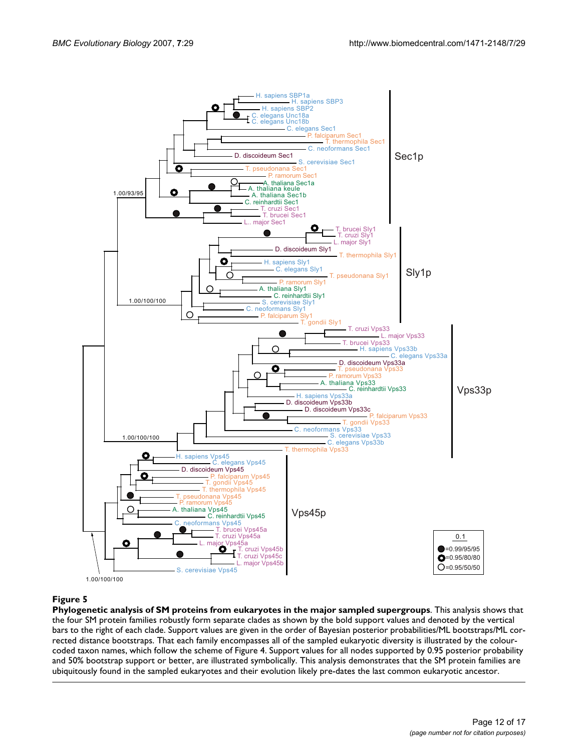

### Phylogenetic analysis of SM proteins from eukaryotes in the major sampled supergroups **Figure 5**

**Phylogenetic analysis of SM proteins from eukaryotes in the major sampled supergroups**. This analysis shows that the four SM protein families robustly form separate clades as shown by the bold support values and denoted by the vertical bars to the right of each clade. Support values are given in the order of Bayesian posterior probabilities/ML bootstraps/ML corrected distance bootstraps. That each family encompasses all of the sampled eukaryotic diversity is illustrated by the colourcoded taxon names, which follow the scheme of Figure 4. Support values for all nodes supported by 0.95 posterior probability and 50% bootstrap support or better, are illustrated symbolically. This analysis demonstrates that the SM protein families are ubiquitously found in the sampled eukaryotes and their evolution likely pre-dates the last common eukaryotic ancestor.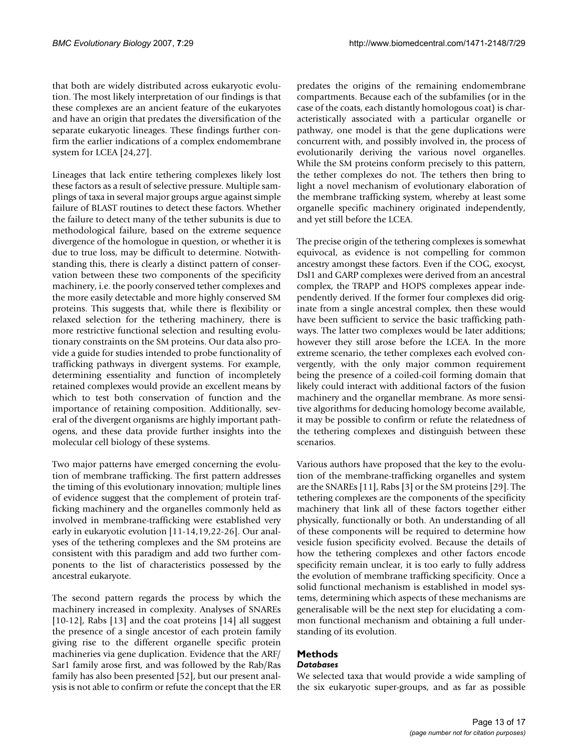that both are widely distributed across eukaryotic evolution. The most likely interpretation of our findings is that these complexes are an ancient feature of the eukaryotes and have an origin that predates the diversification of the separate eukaryotic lineages. These findings further confirm the earlier indications of a complex endomembrane system for LCEA [24,27].

Lineages that lack entire tethering complexes likely lost these factors as a result of selective pressure. Multiple samplings of taxa in several major groups argue against simple failure of BLAST routines to detect these factors. Whether the failure to detect many of the tether subunits is due to methodological failure, based on the extreme sequence divergence of the homologue in question, or whether it is due to true loss, may be difficult to determine. Notwithstanding this, there is clearly a distinct pattern of conservation between these two components of the specificity machinery, i.e. the poorly conserved tether complexes and the more easily detectable and more highly conserved SM proteins. This suggests that, while there is flexibility or relaxed selection for the tethering machinery, there is more restrictive functional selection and resulting evolutionary constraints on the SM proteins. Our data also provide a guide for studies intended to probe functionality of trafficking pathways in divergent systems. For example, determining essentiality and function of incompletely retained complexes would provide an excellent means by which to test both conservation of function and the importance of retaining composition. Additionally, several of the divergent organisms are highly important pathogens, and these data provide further insights into the molecular cell biology of these systems.

Two major patterns have emerged concerning the evolution of membrane trafficking. The first pattern addresses the timing of this evolutionary innovation; multiple lines of evidence suggest that the complement of protein trafficking machinery and the organelles commonly held as involved in membrane-trafficking were established very early in eukaryotic evolution [11-14,19,22-26]. Our analyses of the tethering complexes and the SM proteins are consistent with this paradigm and add two further components to the list of characteristics possessed by the ancestral eukaryote.

The second pattern regards the process by which the machinery increased in complexity. Analyses of SNAREs [10-12], Rabs [13] and the coat proteins [14] all suggest the presence of a single ancestor of each protein family giving rise to the different organelle specific protein machineries via gene duplication. Evidence that the ARF/ Sar1 family arose first, and was followed by the Rab/Ras family has also been presented [52], but our present analysis is not able to confirm or refute the concept that the ER predates the origins of the remaining endomembrane compartments. Because each of the subfamilies (or in the case of the coats, each distantly homologous coat) is characteristically associated with a particular organelle or pathway, one model is that the gene duplications were concurrent with, and possibly involved in, the process of evolutionarily deriving the various novel organelles. While the SM proteins conform precisely to this pattern, the tether complexes do not. The tethers then bring to light a novel mechanism of evolutionary elaboration of the membrane trafficking system, whereby at least some organelle specific machinery originated independently, and yet still before the LCEA.

The precise origin of the tethering complexes is somewhat equivocal, as evidence is not compelling for common ancestry amongst these factors. Even if the COG, exocyst, Dsl1 and GARP complexes were derived from an ancestral complex, the TRAPP and HOPS complexes appear independently derived. If the former four complexes did originate from a single ancestral complex, then these would have been sufficient to service the basic trafficking pathways. The latter two complexes would be later additions; however they still arose before the LCEA. In the more extreme scenario, the tether complexes each evolved convergently, with the only major common requirement being the presence of a coiled-coil forming domain that likely could interact with additional factors of the fusion machinery and the organellar membrane. As more sensitive algorithms for deducing homology become available, it may be possible to confirm or refute the relatedness of the tethering complexes and distinguish between these scenarios.

Various authors have proposed that the key to the evolution of the membrane-trafficking organelles and system are the SNAREs [11], Rabs [3] or the SM proteins [29]. The tethering complexes are the components of the specificity machinery that link all of these factors together either physically, functionally or both. An understanding of all of these components will be required to determine how vesicle fusion specificity evolved. Because the details of how the tethering complexes and other factors encode specificity remain unclear, it is too early to fully address the evolution of membrane trafficking specificity. Once a solid functional mechanism is established in model systems, determining which aspects of these mechanisms are generalisable will be the next step for elucidating a common functional mechanism and obtaining a full understanding of its evolution.

#### **Methods** *Databases*

We selected taxa that would provide a wide sampling of the six eukaryotic super-groups, and as far as possible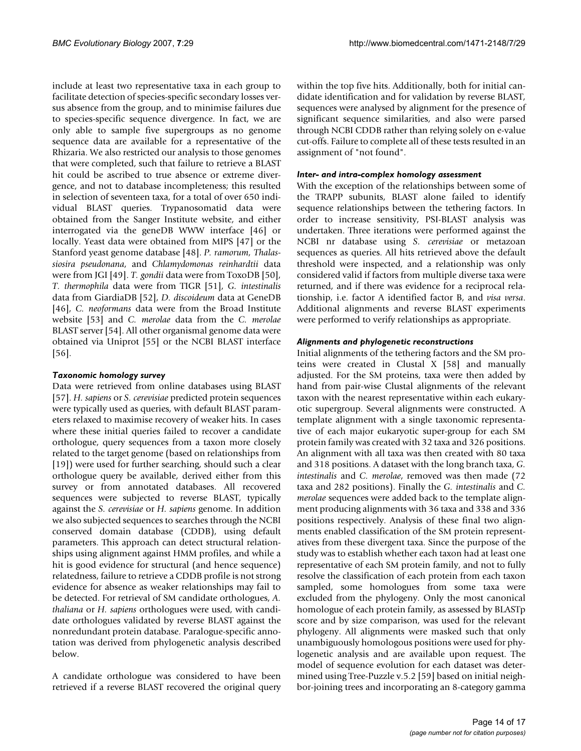include at least two representative taxa in each group to facilitate detection of species-specific secondary losses versus absence from the group, and to minimise failures due to species-specific sequence divergence. In fact, we are only able to sample five supergroups as no genome sequence data are available for a representative of the Rhizaria. We also restricted our analysis to those genomes that were completed, such that failure to retrieve a BLAST hit could be ascribed to true absence or extreme divergence, and not to database incompleteness; this resulted in selection of seventeen taxa, for a total of over 650 individual BLAST queries. Trypanosomatid data were obtained from the Sanger Institute website, and either interrogated via the geneDB WWW interface [46] or locally. Yeast data were obtained from MIPS [47] or the Stanford yeast genome database [48]. *P. ramorum, Thalassiosira pseudonana*, and *Chlamydomonas reinhardtii* data were from JGI [49]. *T. gondii* data were from ToxoDB [50], *T. thermophila* data were from TIGR [51], *G. intestinalis* data from GiardiaDB [52], *D. discoideum* data at GeneDB [46], *C. neoformans* data were from the Broad Institute website [53] and *C. merolae* data from the *C. merolae* BLAST server [54]. All other organismal genome data were obtained via Uniprot [55] or the NCBI BLAST interface [56].

#### *Taxonomic homology survey*

Data were retrieved from online databases using BLAST [57]. *H. sapiens* or *S. cerevisiae* predicted protein sequences were typically used as queries, with default BLAST parameters relaxed to maximise recovery of weaker hits. In cases where these initial queries failed to recover a candidate orthologue, query sequences from a taxon more closely related to the target genome (based on relationships from [19]) were used for further searching, should such a clear orthologue query be available, derived either from this survey or from annotated databases. All recovered sequences were subjected to reverse BLAST, typically against the *S. cerevisiae* or *H. sapiens* genome. In addition we also subjected sequences to searches through the NCBI conserved domain database (CDDB), using default parameters. This approach can detect structural relationships using alignment against HMM profiles, and while a hit is good evidence for structural (and hence sequence) relatedness, failure to retrieve a CDDB profile is not strong evidence for absence as weaker relationships may fail to be detected. For retrieval of SM candidate orthologues, *A. thaliana* or *H. sapiens* orthologues were used, with candidate orthologues validated by reverse BLAST against the nonredundant protein database. Paralogue-specific annotation was derived from phylogenetic analysis described below.

A candidate orthologue was considered to have been retrieved if a reverse BLAST recovered the original query within the top five hits. Additionally, both for initial candidate identification and for validation by reverse BLAST, sequences were analysed by alignment for the presence of significant sequence similarities, and also were parsed through NCBI CDDB rather than relying solely on e-value cut-offs. Failure to complete all of these tests resulted in an assignment of "not found".

#### *Inter- and intra-complex homology assessment*

With the exception of the relationships between some of the TRAPP subunits, BLAST alone failed to identify sequence relationships between the tethering factors. In order to increase sensitivity, PSI-BLAST analysis was undertaken. Three iterations were performed against the NCBI nr database using *S. cerevisiae* or metazoan sequences as queries. All hits retrieved above the default threshold were inspected, and a relationship was only considered valid if factors from multiple diverse taxa were returned, and if there was evidence for a reciprocal relationship, i.e. factor A identified factor B, and *visa versa*. Additional alignments and reverse BLAST experiments were performed to verify relationships as appropriate.

#### *Alignments and phylogenetic reconstructions*

Initial alignments of the tethering factors and the SM proteins were created in Clustal X [58] and manually adjusted. For the SM proteins, taxa were then added by hand from pair-wise Clustal alignments of the relevant taxon with the nearest representative within each eukaryotic supergroup. Several alignments were constructed. A template alignment with a single taxonomic representative of each major eukaryotic super-group for each SM protein family was created with 32 taxa and 326 positions. An alignment with all taxa was then created with 80 taxa and 318 positions. A dataset with the long branch taxa, *G. intestinalis* and *C. merolae*, removed was then made (72 taxa and 282 positions). Finally the *G. intestinalis* and *C. merolae* sequences were added back to the template alignment producing alignments with 36 taxa and 338 and 336 positions respectively. Analysis of these final two alignments enabled classification of the SM protein representatives from these divergent taxa. Since the purpose of the study was to establish whether each taxon had at least one representative of each SM protein family, and not to fully resolve the classification of each protein from each taxon sampled, some homologues from some taxa were excluded from the phylogeny. Only the most canonical homologue of each protein family, as assessed by BLASTp score and by size comparison, was used for the relevant phylogeny. All alignments were masked such that only unambiguously homologous positions were used for phylogenetic analysis and are available upon request. The model of sequence evolution for each dataset was determined using Tree-Puzzle v.5.2 [59] based on initial neighbor-joining trees and incorporating an 8-category gamma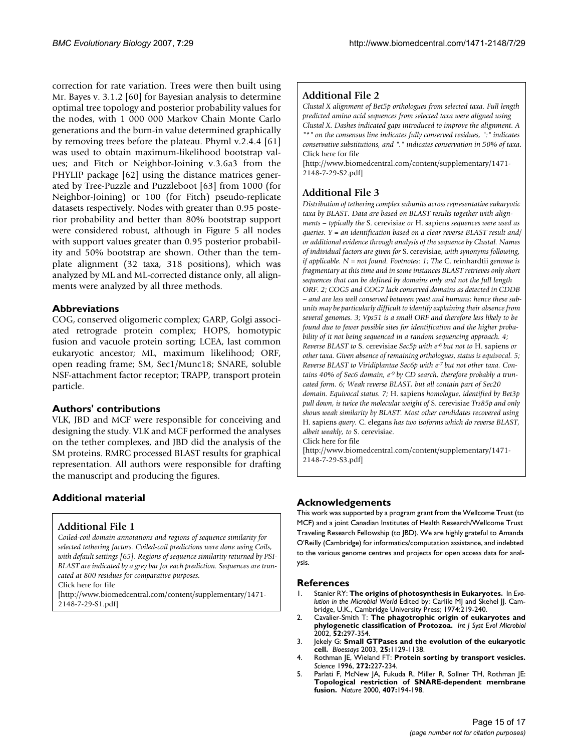correction for rate variation. Trees were then built using Mr. Bayes v. 3.1.2 [60] for Bayesian analysis to determine optimal tree topology and posterior probability values for the nodes, with 1 000 000 Markov Chain Monte Carlo generations and the burn-in value determined graphically by removing trees before the plateau. Phyml v.2.4.4 [61] was used to obtain maximum-likelihood bootstrap values; and Fitch or Neighbor-Joining v.3.6a3 from the PHYLIP package [62] using the distance matrices generated by Tree-Puzzle and Puzzleboot [63] from 1000 (for Neighbor-Joining) or 100 (for Fitch) pseudo-replicate datasets respectively. Nodes with greater than 0.95 posterior probability and better than 80% bootstrap support were considered robust, although in Figure 5 all nodes with support values greater than 0.95 posterior probability and 50% bootstrap are shown. Other than the template alignment (32 taxa, 318 positions), which was analyzed by ML and ML-corrected distance only, all alignments were analyzed by all three methods.

### **Abbreviations**

COG, conserved oligomeric complex; GARP, Golgi associated retrograde protein complex; HOPS, homotypic fusion and vacuole protein sorting; LCEA, last common eukaryotic ancestor; ML, maximum likelihood; ORF, open reading frame; SM, Sec1/Munc18; SNARE, soluble NSF-attachment factor receptor; TRAPP, transport protein particle.

### **Authors' contributions**

VLK, JBD and MCF were responsible for conceiving and designing the study. VLK and MCF performed the analyses on the tether complexes, and JBD did the analysis of the SM proteins. RMRC processed BLAST results for graphical representation. All authors were responsible for drafting the manuscript and producing the figures.

# **Additional material Acknowledgements**

### **Additional File 1**

*Coiled-coil domain annotations and regions of sequence similarity for selected tethering factors. Coiled-coil predictions were done using Coils, with default settings [65]. Regions of sequence similarity returned by PSI-BLAST are indicated by a grey bar for each prediction. Sequences are truncated at 800 residues for comparative purposes.*

Click here for file

[\[http://www.biomedcentral.com/content/supplementary/1471-](http://www.biomedcentral.com/content/supplementary/1471-2148-7-29-S1.pdf) 2148-7-29-S1.pdf]

## **Additional File 2**

*Clustal X alignment of Bet5p orthologues from selected taxa. Full length predicted amino acid sequences from selected taxa were aligned using Clustal X. Dashes indicated gaps introduced to improve the alignment. A "\*" on the consensus line indicates fully conserved residues, ":" indicates conservative substitutions, and "." indicates conservation in 50% of taxa.* Click here for file

[\[http://www.biomedcentral.com/content/supplementary/1471-](http://www.biomedcentral.com/content/supplementary/1471-2148-7-29-S2.pdf) 2148-7-29-S2.pdf]

## **Additional File 3**

*Distribution of tethering complex subunits across representative eukaryotic taxa by BLAST. Data are based on BLAST results together with alignments – typically the* S. cerevisiae *or* H. sapiens *sequences were used as queries. Y = an identification based on a clear reverse BLAST result and/ or additional evidence through analysis of the sequence by Clustal. Names of individual factors are given for* S. cerevisiae*, with synonyms following, if applicable. N = not found. Footnotes: 1; The* C. reinhardtii *genome is fragmentary at this time and in some instances BLAST retrieves only short sequences that can be defined by domains only and not the full length ORF. 2; COG5 and COG7 lack conserved domains as detected in CDDB – and are less well conserved between yeast and humans; hence these subunits may be particularly difficult to identify explaining their absence from several genomes. 3; Vps51 is a small ORF and therefore less likely to be found due to fewer possible sites for identification and the higher probability of it not being sequenced in a random sequencing approach. 4; Reverse BLAST to* S. cerevisiae *Sec5p with e-6 but not to* H. sapiens *or other taxa. Given absence of remaining orthologues, status is equivocal. 5; Reverse BLAST to Viridiplantae Sec6p with e-7 but not other taxa. Contains 40% of Sec6 domain, e-9 by CD search, therefore probably a truncated form. 6; Weak reverse BLAST, but all contain part of Sec20 domain. Equivocal status. 7;* H. sapiens *homologue, identified by Bet3p pull down, is twice the molecular weight of* S. cerevisiae *Trs85p and only shows weak similarity by BLAST. Most other candidates recovered using*  H. sapiens *query.* C. elegans *has two isoforms which do reverse BLAST, albeit weakly, to* S. cerevisiae*.*

Click here for file

[\[http://www.biomedcentral.com/content/supplementary/1471-](http://www.biomedcentral.com/content/supplementary/1471-2148-7-29-S3.pdf) 2148-7-29-S3.pdf]

This work was supported by a program grant from the Wellcome Trust (to MCF) and a joint Canadian Institutes of Health Research/Wellcome Trust Traveling Research Fellowship (to JBD). We are highly grateful to Amanda O'Reilly (Cambridge) for informatics/computation assistance, and indebted to the various genome centres and projects for open access data for analysis.

#### **References**

- 1. Stanier RY: **The origins of photosynthesis in Eukaryotes.** In *Evolution in the Microbial World* Edited by: Carlile MJ and Skehel JJ. Cambridge, U.K., Cambridge University Press; 1974:219-240.
- 2. Cavalier-Smith T: **[The phagotrophic origin of eukaryotes and](http://www.ncbi.nlm.nih.gov/entrez/query.fcgi?cmd=Retrieve&db=PubMed&dopt=Abstract&list_uids=11931142) [phylogenetic classification of Protozoa.](http://www.ncbi.nlm.nih.gov/entrez/query.fcgi?cmd=Retrieve&db=PubMed&dopt=Abstract&list_uids=11931142)** *Int J Syst Evol Microbiol* 2002, **52:**297-354.
- 3. Jekely G: **[Small GTPases and the evolution of the eukaryotic](http://www.ncbi.nlm.nih.gov/entrez/query.fcgi?cmd=Retrieve&db=PubMed&dopt=Abstract&list_uids=14579253) [cell.](http://www.ncbi.nlm.nih.gov/entrez/query.fcgi?cmd=Retrieve&db=PubMed&dopt=Abstract&list_uids=14579253)** *Bioessays* 2003, **25:**1129-1138.
- 4. Rothman JE, Wieland FT: **[Protein sorting by transport vesicles.](http://www.ncbi.nlm.nih.gov/entrez/query.fcgi?cmd=Retrieve&db=PubMed&dopt=Abstract&list_uids=8602507)** *Science* 1996, **272:**227-234.
- 5. Parlati F, McNew JA, Fukuda R, Miller R, Sollner TH, Rothman JE: **[Topological restriction of SNARE-dependent membrane](http://www.ncbi.nlm.nih.gov/entrez/query.fcgi?cmd=Retrieve&db=PubMed&dopt=Abstract&list_uids=11001058) [fusion.](http://www.ncbi.nlm.nih.gov/entrez/query.fcgi?cmd=Retrieve&db=PubMed&dopt=Abstract&list_uids=11001058)** *Nature* 2000, **407:**194-198.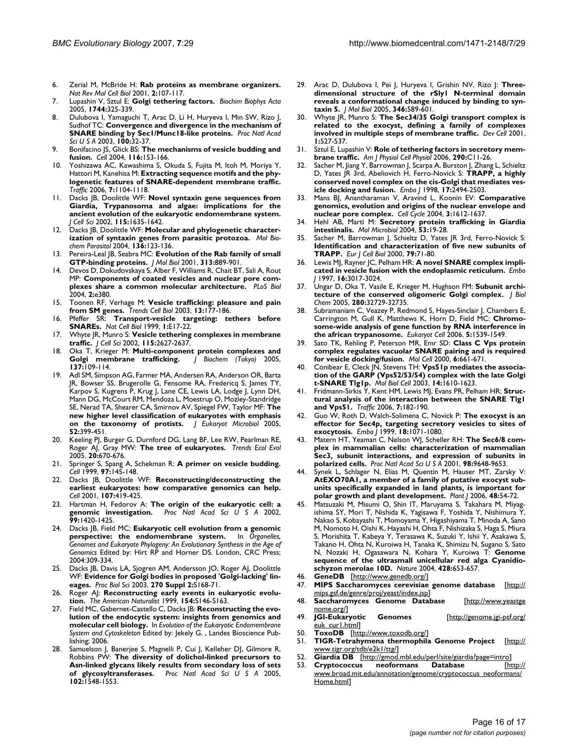- 6. Zerial M, McBride H: **[Rab proteins as membrane organizers.](http://www.ncbi.nlm.nih.gov/entrez/query.fcgi?cmd=Retrieve&db=PubMed&dopt=Abstract&list_uids=11252952)** *Nat Rev Mol Cell Biol* 2001, **2:**107-117.
- 7. Lupashin V, Sztul E: **[Golgi tethering factors.](http://www.ncbi.nlm.nih.gov/entrez/query.fcgi?cmd=Retrieve&db=PubMed&dopt=Abstract&list_uids=15979505)** *Biochim Biophys Acta* 2005, **1744:**325-339.
- 8. Dulubova I, Yamaguchi T, Arac D, Li H, Huryeva I, Min SW, Rizo J, Sudhof TC: **[Convergence and divergence in the mechanism of](http://www.ncbi.nlm.nih.gov/entrez/query.fcgi?cmd=Retrieve&db=PubMed&dopt=Abstract&list_uids=12506202) [SNARE binding by Sec1/Munc18-like proteins.](http://www.ncbi.nlm.nih.gov/entrez/query.fcgi?cmd=Retrieve&db=PubMed&dopt=Abstract&list_uids=12506202)** *Proc Natl Acad Sci U S A* 2003, **100:**32-37.
- 9. Bonifacino JS, Glick BS: **[The mechanisms of vesicle budding and](http://www.ncbi.nlm.nih.gov/entrez/query.fcgi?cmd=Retrieve&db=PubMed&dopt=Abstract&list_uids=14744428) [fusion.](http://www.ncbi.nlm.nih.gov/entrez/query.fcgi?cmd=Retrieve&db=PubMed&dopt=Abstract&list_uids=14744428)** *Cell* 2004, **116:**153-166.
- 10. Yoshizawa AC, Kawashima S, Okuda S, Fujita M, Itoh M, Moriya Y, Hattori M, Kanehisa M: **[Extracting sequence motifs and the phy](http://www.ncbi.nlm.nih.gov/entrez/query.fcgi?cmd=Retrieve&db=PubMed&dopt=Abstract&list_uids=16882042)[logenetic features of SNARE-dependent membrane traffic.](http://www.ncbi.nlm.nih.gov/entrez/query.fcgi?cmd=Retrieve&db=PubMed&dopt=Abstract&list_uids=16882042)** *Traffic* 2006, **7:**1104-1118.
- 11. Dacks JB, Doolittle WF: **[Novel syntaxin gene sequences from](http://www.ncbi.nlm.nih.gov/entrez/query.fcgi?cmd=Retrieve&db=PubMed&dopt=Abstract&list_uids=11950882) [Giardia, Trypanosoma and algae: implications for the](http://www.ncbi.nlm.nih.gov/entrez/query.fcgi?cmd=Retrieve&db=PubMed&dopt=Abstract&list_uids=11950882) ancient evolution of the eukaryotic endomembrane system.** *J Cell Sci* 2002, **115:**1635-1642.
- 12. Dacks JB, Doolittle WF: **[Molecular and phylogenetic character](http://www.ncbi.nlm.nih.gov/entrez/query.fcgi?cmd=Retrieve&db=PubMed&dopt=Abstract&list_uids=15478792)[ization of syntaxin genes from parasitic protozoa.](http://www.ncbi.nlm.nih.gov/entrez/query.fcgi?cmd=Retrieve&db=PubMed&dopt=Abstract&list_uids=15478792)** *Mol Biochem Parasitol* 2004, **136:**123-136.
- 13. Pereira-Leal JB, Seabra MC: **[Evolution of the Rab family of small](http://www.ncbi.nlm.nih.gov/entrez/query.fcgi?cmd=Retrieve&db=PubMed&dopt=Abstract&list_uids=11697911) [GTP-binding proteins.](http://www.ncbi.nlm.nih.gov/entrez/query.fcgi?cmd=Retrieve&db=PubMed&dopt=Abstract&list_uids=11697911)** *J Mol Biol* 2001, **313:**889-901.
- 14. Devos D, Dokudovskaya S, Alber F, Williams R, Chait BT, Sali A, Rout MP: **[Components of coated vesicles and nuclear pore com](http://www.ncbi.nlm.nih.gov/entrez/query.fcgi?cmd=Retrieve&db=PubMed&dopt=Abstract&list_uids=15523559)[plexes share a common molecular architecture.](http://www.ncbi.nlm.nih.gov/entrez/query.fcgi?cmd=Retrieve&db=PubMed&dopt=Abstract&list_uids=15523559)** *PLoS Biol* 2004, **2:**e380.
- 15. Toonen RF, Verhage M: **[Vesicle trafficking: pleasure and pain](http://www.ncbi.nlm.nih.gov/entrez/query.fcgi?cmd=Retrieve&db=PubMed&dopt=Abstract&list_uids=12667755) [from SM genes.](http://www.ncbi.nlm.nih.gov/entrez/query.fcgi?cmd=Retrieve&db=PubMed&dopt=Abstract&list_uids=12667755)** *Trends Cell Biol* 2003, **13:**177-186.
- 16. Pfeffer SR: **[Transport-vesicle targeting: tethers before](http://www.ncbi.nlm.nih.gov/entrez/query.fcgi?cmd=Retrieve&db=PubMed&dopt=Abstract&list_uids=10559876) [SNAREs.](http://www.ncbi.nlm.nih.gov/entrez/query.fcgi?cmd=Retrieve&db=PubMed&dopt=Abstract&list_uids=10559876)** *Nat Cell Biol* 1999, **1:**E17-22.
- 17. Whyte JR, Munro S: **[Vesicle tethering complexes in membrane](http://www.ncbi.nlm.nih.gov/entrez/query.fcgi?cmd=Retrieve&db=PubMed&dopt=Abstract&list_uids=12077354) [traffic.](http://www.ncbi.nlm.nih.gov/entrez/query.fcgi?cmd=Retrieve&db=PubMed&dopt=Abstract&list_uids=12077354)** *J Cell Sci* 2002, **115:**2627-2637.
- 18. Oka T, Krieger M: **[Multi-component protein complexes and](http://www.ncbi.nlm.nih.gov/entrez/query.fcgi?cmd=Retrieve&db=PubMed&dopt=Abstract&list_uids=15749823)** [Golgi membrane trafficking.](http://www.ncbi.nlm.nih.gov/entrez/query.fcgi?cmd=Retrieve&db=PubMed&dopt=Abstract&list_uids=15749823) **137:**109-114.
- 19. Adl SM, Simpson AG, Farmer MA, Andersen RA, Anderson OR, Barta JR, Bowser SS, Brugerolle G, Fensome RA, Fredericq S, James TY, Karpov S, Kugrens P, Krug J, Lane CE, Lewis LA, Lodge J, Lynn DH, Mann DG, McCourt RM, Mendoza L, Moestrup O, Mozley-Standridge SE, Nerad TA, Shearer CA, Smirnov AV, Spiegel FW, Taylor MF: **[The](http://www.ncbi.nlm.nih.gov/entrez/query.fcgi?cmd=Retrieve&db=PubMed&dopt=Abstract&list_uids=16248873) [new higher level classification of eukaryotes with emphasis](http://www.ncbi.nlm.nih.gov/entrez/query.fcgi?cmd=Retrieve&db=PubMed&dopt=Abstract&list_uids=16248873) [on the taxonomy of protists.](http://www.ncbi.nlm.nih.gov/entrez/query.fcgi?cmd=Retrieve&db=PubMed&dopt=Abstract&list_uids=16248873)** *J Eukaryot Microbiol* 2005, **52:**399-451.
- 20. Keeling PJ, Burger G, Durnford DG, Lang BF, Lee RW, Pearlman RE, Roger AJ, Gray MW: **[The tree of eukaryotes.](http://www.ncbi.nlm.nih.gov/entrez/query.fcgi?cmd=Retrieve&db=PubMed&dopt=Abstract&list_uids=16701456)** *Trends Ecol Evol* 2005, **20:**670-676.
- 21. Springer S, Spang A, Schekman R: **[A primer on vesicle budding.](http://www.ncbi.nlm.nih.gov/entrez/query.fcgi?cmd=Retrieve&db=PubMed&dopt=Abstract&list_uids=10219233)** *Cell* 1999, **97:**145-148.
- 22. Dacks JB, Doolittle WF: **[Reconstructing/deconstructing the](http://www.ncbi.nlm.nih.gov/entrez/query.fcgi?cmd=Retrieve&db=PubMed&dopt=Abstract&list_uids=11719183) [earliest eukaryotes: how comparative genomics can help.](http://www.ncbi.nlm.nih.gov/entrez/query.fcgi?cmd=Retrieve&db=PubMed&dopt=Abstract&list_uids=11719183)** *Cell* 2001, **107:**419-425.
- 23. Hartman H, Fedorov A: **[The origin of the eukaryotic cell: a](http://www.ncbi.nlm.nih.gov/entrez/query.fcgi?cmd=Retrieve&db=PubMed&dopt=Abstract&list_uids=11805300) [genomic investigation.](http://www.ncbi.nlm.nih.gov/entrez/query.fcgi?cmd=Retrieve&db=PubMed&dopt=Abstract&list_uids=11805300)** *Proc Natl Acad Sci U S A* 2002, **99:**1420-1425.
- 24. Dacks JB, Field MC: **Eukaryotic cell evolution from a genomic perspective: the endomembrane system.** In *Organelles, Genomes and Eukaryote Phylogeny: An Evolutionary Synthesis in the Age of Genomics* Edited by: Hirt RP and Horner DS. London, CRC Press; 2004:309-334.
- 25. Dacks JB, Davis LA, Sjogren AM, Andersson JO, Roger AJ, Doolittle WF: **[Evidence for Golgi bodies in proposed 'Golgi-lacking' lin](http://www.ncbi.nlm.nih.gov/entrez/query.fcgi?cmd=Retrieve&db=PubMed&dopt=Abstract&list_uids=14667372)[eages.](http://www.ncbi.nlm.nih.gov/entrez/query.fcgi?cmd=Retrieve&db=PubMed&dopt=Abstract&list_uids=14667372)** *Proc Biol Sci* 2003, **270 Suppl 2:**S168-71.
- 26. Roger AJ: **[Reconstructing early events in eukaryotic evolu](http://www.ncbi.nlm.nih.gov/entrez/query.fcgi?cmd=Retrieve&db=PubMed&dopt=Abstract&list_uids=10527924)[tion.](http://www.ncbi.nlm.nih.gov/entrez/query.fcgi?cmd=Retrieve&db=PubMed&dopt=Abstract&list_uids=10527924)** *The American Naturalist* 1999, **154:**S146-S163.
- 27. Field MC, Gabernet-Castello C, Dacks JB: **Reconstructing the evolution of the endocytic system: insights from genomics and molecular cell biology.** In *Evolution of the Eukaryotic Endomembrane System and Cytoskeleton* Edited by: Jekely G. , Landes Bioscience Publishing; 2006.
- 28. Samuelson J, Banerjee S, Magnelli P, Cui J, Kelleher DJ, Gilmore R, Robbins PW: **[The diversity of dolichol-linked precursors to](http://www.ncbi.nlm.nih.gov/entrez/query.fcgi?cmd=Retrieve&db=PubMed&dopt=Abstract&list_uids=15665075) [Asn-linked glycans likely results from secondary loss of sets](http://www.ncbi.nlm.nih.gov/entrez/query.fcgi?cmd=Retrieve&db=PubMed&dopt=Abstract&list_uids=15665075) [of glycosyltransferases.](http://www.ncbi.nlm.nih.gov/entrez/query.fcgi?cmd=Retrieve&db=PubMed&dopt=Abstract&list_uids=15665075)** *Proc Natl Acad Sci U S A* 2005, **102:**1548-1553.
- 29. Arac D, Dulubova I, Pei J, Huryeva I, Grishin NV, Rizo J: **[Three](http://www.ncbi.nlm.nih.gov/entrez/query.fcgi?cmd=Retrieve&db=PubMed&dopt=Abstract&list_uids=15670607)[dimensional structure of the rSly1 N-terminal domain](http://www.ncbi.nlm.nih.gov/entrez/query.fcgi?cmd=Retrieve&db=PubMed&dopt=Abstract&list_uids=15670607) reveals a conformational change induced by binding to syn[taxin 5.](http://www.ncbi.nlm.nih.gov/entrez/query.fcgi?cmd=Retrieve&db=PubMed&dopt=Abstract&list_uids=15670607)** *J Mol Biol* 2005, **346:**589-601.
- 30. Whyte JR, Munro S: **[The Sec34/35 Golgi transport complex is](http://www.ncbi.nlm.nih.gov/entrez/query.fcgi?cmd=Retrieve&db=PubMed&dopt=Abstract&list_uids=11703943) [related to the exocyst, defining a family of complexes](http://www.ncbi.nlm.nih.gov/entrez/query.fcgi?cmd=Retrieve&db=PubMed&dopt=Abstract&list_uids=11703943) [involved in multiple steps of membrane traffic.](http://www.ncbi.nlm.nih.gov/entrez/query.fcgi?cmd=Retrieve&db=PubMed&dopt=Abstract&list_uids=11703943)** *Dev Cell* 2001, **1:**527-537.
- 31. Sztul E, Lupashin V: **[Role of tethering factors in secretory mem](http://www.ncbi.nlm.nih.gov/entrez/query.fcgi?cmd=Retrieve&db=PubMed&dopt=Abstract&list_uids=16338975)[brane traffic.](http://www.ncbi.nlm.nih.gov/entrez/query.fcgi?cmd=Retrieve&db=PubMed&dopt=Abstract&list_uids=16338975)** *Am J Physiol Cell Physiol* 2006, **290:**C11-26.
- 32. Sacher M, Jiang Y, Barrowman J, Scarpa A, Burston J, Zhang L, Schieltz D, Yates JR 3rd, Abeliovich H, Ferro-Novick S: **[TRAPP, a highly](http://www.ncbi.nlm.nih.gov/entrez/query.fcgi?cmd=Retrieve&db=PubMed&dopt=Abstract&list_uids=9564032) [conserved novel complex on the cis-Golgi that mediates ves](http://www.ncbi.nlm.nih.gov/entrez/query.fcgi?cmd=Retrieve&db=PubMed&dopt=Abstract&list_uids=9564032)[icle docking and fusion.](http://www.ncbi.nlm.nih.gov/entrez/query.fcgi?cmd=Retrieve&db=PubMed&dopt=Abstract&list_uids=9564032)** *Embo J* 1998, **17:**2494-2503.
- 33. Mans BJ, Anantharaman V, Aravind L, Koonin EV: **[Comparative](http://www.ncbi.nlm.nih.gov/entrez/query.fcgi?cmd=Retrieve&db=PubMed&dopt=Abstract&list_uids=15611647) [genomics, evolution and origins of the nuclear envelope and](http://www.ncbi.nlm.nih.gov/entrez/query.fcgi?cmd=Retrieve&db=PubMed&dopt=Abstract&list_uids=15611647) [nuclear pore complex.](http://www.ncbi.nlm.nih.gov/entrez/query.fcgi?cmd=Retrieve&db=PubMed&dopt=Abstract&list_uids=15611647)** *Cell Cycle* 2004, **3:**1612-1637.
- 34. Hehl AB, Marti M: **[Secretory protein trafficking in Giardia](http://www.ncbi.nlm.nih.gov/entrez/query.fcgi?cmd=Retrieve&db=PubMed&dopt=Abstract&list_uids=15225300) [intestinalis.](http://www.ncbi.nlm.nih.gov/entrez/query.fcgi?cmd=Retrieve&db=PubMed&dopt=Abstract&list_uids=15225300)** *Mol Microbiol* 2004, **53:**19-28.
- 35. Sacher M, Barrowman J, Schieltz D, Yates JR 3rd, Ferro-Novick S: **[Identification and characterization of five new subunits of](http://www.ncbi.nlm.nih.gov/entrez/query.fcgi?cmd=Retrieve&db=PubMed&dopt=Abstract&list_uids=10727015) [TRAPP.](http://www.ncbi.nlm.nih.gov/entrez/query.fcgi?cmd=Retrieve&db=PubMed&dopt=Abstract&list_uids=10727015)** *Eur J Cell Biol* 2000, **79:**71-80.
- 36. Lewis MJ, Rayner JC, Pelham HR: **[A novel SNARE complex impli](http://www.ncbi.nlm.nih.gov/entrez/query.fcgi?cmd=Retrieve&db=PubMed&dopt=Abstract&list_uids=9214619)[cated in vesicle fusion with the endoplasmic reticulum.](http://www.ncbi.nlm.nih.gov/entrez/query.fcgi?cmd=Retrieve&db=PubMed&dopt=Abstract&list_uids=9214619)** *Embo J* 1997, **16:**3017-3024.
- 37. Ungar D, Oka T, Vasile E, Krieger M, Hughson FM: **[Subunit archi](http://www.ncbi.nlm.nih.gov/entrez/query.fcgi?cmd=Retrieve&db=PubMed&dopt=Abstract&list_uids=16020545)[tecture of the conserved oligomeric Golgi complex.](http://www.ncbi.nlm.nih.gov/entrez/query.fcgi?cmd=Retrieve&db=PubMed&dopt=Abstract&list_uids=16020545)** *J Biol Chem* 2005, **280:**32729-32735.
- 38. Subramaniam C, Veazey P, Redmond S, Hayes-Sinclair J, Chambers E, Carrington M, Gull K, Matthews K, Horn D, Field MC: **[Chromo](http://www.ncbi.nlm.nih.gov/entrez/query.fcgi?cmd=Retrieve&db=PubMed&dopt=Abstract&list_uids=16963636)[some-wide analysis of gene function by RNA interference in](http://www.ncbi.nlm.nih.gov/entrez/query.fcgi?cmd=Retrieve&db=PubMed&dopt=Abstract&list_uids=16963636) [the african trypanosome.](http://www.ncbi.nlm.nih.gov/entrez/query.fcgi?cmd=Retrieve&db=PubMed&dopt=Abstract&list_uids=16963636)** *Eukaryot Cell* 2006, **5:**1539-1549.
- 39. Sato TK, Rehling P, Peterson MR, Emr SD: **[Class C Vps protein](http://www.ncbi.nlm.nih.gov/entrez/query.fcgi?cmd=Retrieve&db=PubMed&dopt=Abstract&list_uids=11030345) [complex regulates vacuolar SNARE pairing and is required](http://www.ncbi.nlm.nih.gov/entrez/query.fcgi?cmd=Retrieve&db=PubMed&dopt=Abstract&list_uids=11030345) [for vesicle docking/fusion.](http://www.ncbi.nlm.nih.gov/entrez/query.fcgi?cmd=Retrieve&db=PubMed&dopt=Abstract&list_uids=11030345)** *Mol Cell* 2000, **6:**661-671.
- 40. Conibear E, Cleck JN, Stevens TH: **[Vps51p mediates the associa](http://www.ncbi.nlm.nih.gov/entrez/query.fcgi?cmd=Retrieve&db=PubMed&dopt=Abstract&list_uids=12686613)[tion of the GARP \(Vps52/53/54\) complex with the late Golgi](http://www.ncbi.nlm.nih.gov/entrez/query.fcgi?cmd=Retrieve&db=PubMed&dopt=Abstract&list_uids=12686613) [t-SNARE Tlg1p.](http://www.ncbi.nlm.nih.gov/entrez/query.fcgi?cmd=Retrieve&db=PubMed&dopt=Abstract&list_uids=12686613)** *Mol Biol Cell* 2003, **14:**1610-1623.
- 41. Fridmann-Sirkis Y, Kent HM, Lewis MJ, Evans PR, Pelham HR: **[Struc](http://www.ncbi.nlm.nih.gov/entrez/query.fcgi?cmd=Retrieve&db=PubMed&dopt=Abstract&list_uids=16420526)[tural analysis of the interaction between the SNARE Tlg1](http://www.ncbi.nlm.nih.gov/entrez/query.fcgi?cmd=Retrieve&db=PubMed&dopt=Abstract&list_uids=16420526) [and Vps51.](http://www.ncbi.nlm.nih.gov/entrez/query.fcgi?cmd=Retrieve&db=PubMed&dopt=Abstract&list_uids=16420526)** *Traffic* 2006, **7:**182-190.
- 42. Guo W, Roth D, Walch-Solimena C, Novick P: **[The exocyst is an](http://www.ncbi.nlm.nih.gov/entrez/query.fcgi?cmd=Retrieve&db=PubMed&dopt=Abstract&list_uids=10022848) [effector for Sec4p, targeting secretory vesicles to sites of](http://www.ncbi.nlm.nih.gov/entrez/query.fcgi?cmd=Retrieve&db=PubMed&dopt=Abstract&list_uids=10022848) [exocytosis.](http://www.ncbi.nlm.nih.gov/entrez/query.fcgi?cmd=Retrieve&db=PubMed&dopt=Abstract&list_uids=10022848)** *Embo J* 1999, **18:**1071-1080.
- 43. Matern HT, Yeaman C, Nelson WJ, Scheller RH: **[The Sec6/8 com](http://www.ncbi.nlm.nih.gov/entrez/query.fcgi?cmd=Retrieve&db=PubMed&dopt=Abstract&list_uids=11493706)[plex in mammalian cells: characterization of mammalian](http://www.ncbi.nlm.nih.gov/entrez/query.fcgi?cmd=Retrieve&db=PubMed&dopt=Abstract&list_uids=11493706) Sec3, subunit interactions, and expression of subunits in [polarized cells.](http://www.ncbi.nlm.nih.gov/entrez/query.fcgi?cmd=Retrieve&db=PubMed&dopt=Abstract&list_uids=11493706)** *Proc Natl Acad Sci U S A* 2001, **98:**9648-9653.
- Synek L, Schlager N, Elias M, Quentin M, Hauser MT, Zarsky V: **[AtEXO70A1, a member of a family of putative exocyst sub](http://www.ncbi.nlm.nih.gov/entrez/query.fcgi?cmd=Retrieve&db=PubMed&dopt=Abstract&list_uids=16942608)units specifically expanded in land plants, is important for [polar growth and plant development.](http://www.ncbi.nlm.nih.gov/entrez/query.fcgi?cmd=Retrieve&db=PubMed&dopt=Abstract&list_uids=16942608)** *Plant J* 2006, **48:**54-72.
- Matsuzaki M, Misumi O, Shin IT, Maruyama S, Takahara M, Miyagishima SY, Mori T, Nishida K, Yagisawa F, Yoshida Y, Nishimura Y, Nakao S, Kobayashi T, Momoyama Y, Higashiyama T, Minoda A, Sano M, Nomoto H, Oishi K, Hayashi H, Ohta F, Nishizaka S, Haga S, Miura S, Morishita T, Kabeya Y, Terasawa K, Suzuki Y, Ishii Y, Asakawa S, Takano H, Ohta N, Kuroiwa H, Tanaka K, Shimizu N, Sugano S, Sato N, Nozaki H, Ogasawara N, Kohara Y, Kuroiwa T: **[Genome](http://www.ncbi.nlm.nih.gov/entrez/query.fcgi?cmd=Retrieve&db=PubMed&dopt=Abstract&list_uids=15071595) [sequence of the ultrasmall unicellular red alga Cyanidio](http://www.ncbi.nlm.nih.gov/entrez/query.fcgi?cmd=Retrieve&db=PubMed&dopt=Abstract&list_uids=15071595)[schyzon merolae 10D.](http://www.ncbi.nlm.nih.gov/entrez/query.fcgi?cmd=Retrieve&db=PubMed&dopt=Abstract&list_uids=15071595)** *Nature* 2004, **428:**653-657.
- 46. **GeneDB** [\[http://www.genedb.org/](http://www.genedb.org/)]<br>47. **MIPS Saccharomyces cerevisiae**
- 47. **MIPS Saccharomyces cerevisiae genome database** [\[http://](http://mips.gsf.de/genre/proj/yeast/index.jsp) [mips.gsf.de/genre/proj/yeast/index.jsp](http://mips.gsf.de/genre/proj/yeast/index.jsp)]
- 48. **Saccharomyces Genome Database** [[http://www.yeastge](http://www.yeastgenome.org/)
- [nome.org/\]](http://www.yeastgenome.org/)<br>JGI-Eukaryotic 49. **JGI-Eukaryotic Genomes** [[http://genome.jgi-psf.org/](http://genome.jgi-psf.org/euk_cur1.html) [euk\\_cur1.html\]](http://genome.jgi-psf.org/euk_cur1.html)
- 50. **ToxoDB** [\[http://www.toxodb.org/](http://www.toxodb.org/)]
- 51. **TIGR-Tetrahymena thermophila Genome Project** [\[http://](http://www.tigr.org/tdb/e2k1/ttg/) [www.tigr.org/tdb/e2k1/ttg/\]](http://www.tigr.org/tdb/e2k1/ttg/)
- 52. **Giardia DB** [\[http://gmod.mbl.edu/perl/site/giardia?page=intro\]](http://gmod.mbl.edu/perl/site/giardia?page=intro)<br>53. Cryptococcus neoformans Database [http://
- $C$ ryptococcus [www.broad.mit.edu/annotation/genome/cryptococcus\\_neoformans/](http://www.broad.mit.edu/annotation/genome/cryptococcus_neoformans/Home.html) [Home.html\]](http://www.broad.mit.edu/annotation/genome/cryptococcus_neoformans/Home.html)